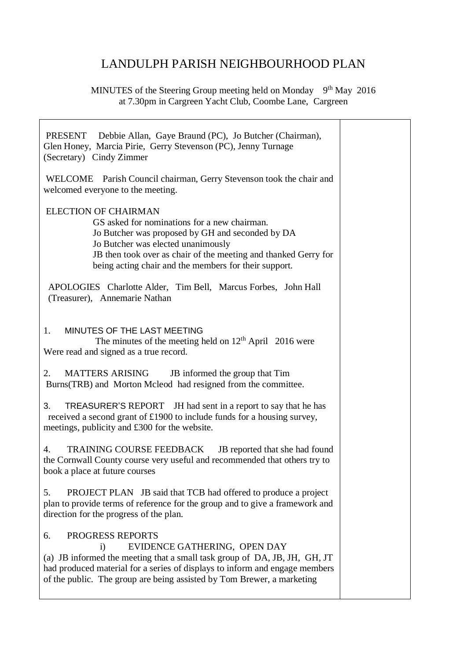## LANDULPH PARISH NEIGHBOURHOOD PLAN

MINUTES of the Steering Group meeting held on Monday 9<sup>th</sup> May 2016 at 7.30pm in Cargreen Yacht Club, Coombe Lane, Cargreen

| PRESENT Debbie Allan, Gaye Braund (PC), Jo Butcher (Chairman),<br>Glen Honey, Marcia Pirie, Gerry Stevenson (PC), Jenny Turnage<br>(Secretary) Cindy Zimmer                                                                                                                                                |  |
|------------------------------------------------------------------------------------------------------------------------------------------------------------------------------------------------------------------------------------------------------------------------------------------------------------|--|
| WELCOME Parish Council chairman, Gerry Stevenson took the chair and<br>welcomed everyone to the meeting.                                                                                                                                                                                                   |  |
| <b>ELECTION OF CHAIRMAN</b><br>GS asked for nominations for a new chairman.<br>Jo Butcher was proposed by GH and seconded by DA<br>Jo Butcher was elected unanimously<br>JB then took over as chair of the meeting and thanked Gerry for<br>being acting chair and the members for their support.          |  |
| APOLOGIES Charlotte Alder, Tim Bell, Marcus Forbes, John Hall<br>(Treasurer), Annemarie Nathan                                                                                                                                                                                                             |  |
| MINUTES OF THE LAST MEETING<br>1.<br>The minutes of the meeting held on $12th$ April 2016 were<br>Were read and signed as a true record.                                                                                                                                                                   |  |
| 2.<br>MATTERS ARISING<br>JB informed the group that Tim<br>Burns(TRB) and Morton Mcleod had resigned from the committee.                                                                                                                                                                                   |  |
| 3.<br>TREASURER'S REPORT JH had sent in a report to say that he has<br>received a second grant of £1900 to include funds for a housing survey,<br>meetings, publicity and £300 for the website.                                                                                                            |  |
| TRAINING COURSE FEEDBACK<br>JB reported that she had found<br>4.<br>the Cornwall County course very useful and recommended that others try to<br>book a place at future courses                                                                                                                            |  |
| PROJECT PLAN JB said that TCB had offered to produce a project<br>5.<br>plan to provide terms of reference for the group and to give a framework and<br>direction for the progress of the plan.                                                                                                            |  |
| PROGRESS REPORTS<br>6.<br>EVIDENCE GATHERING, OPEN DAY<br>$\ddot{1}$<br>(a) JB informed the meeting that a small task group of DA, JB, JH, GH, JT<br>had produced material for a series of displays to inform and engage members<br>of the public. The group are being assisted by Tom Brewer, a marketing |  |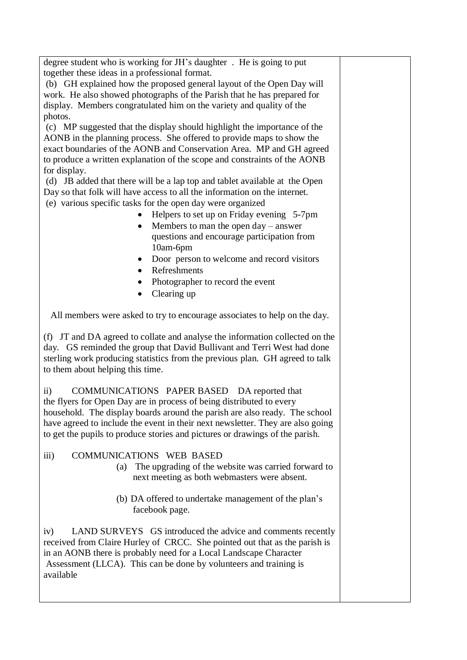degree student who is working for JH's daughter . He is going to put together these ideas in a professional format.

(b) GH explained how the proposed general layout of the Open Day will work. He also showed photographs of the Parish that he has prepared for display. Members congratulated him on the variety and quality of the photos.

(c) MP suggested that the display should highlight the importance of the AONB in the planning process. She offered to provide maps to show the exact boundaries of the AONB and Conservation Area. MP and GH agreed to produce a written explanation of the scope and constraints of the AONB for display.

(d) JB added that there will be a lap top and tablet available at the Open Day so that folk will have access to all the information on the internet.

- (e) various specific tasks for the open day were organized
	- Helpers to set up on Friday evening 5-7pm
	- Members to man the open day answer questions and encourage participation from 10am-6pm
	- Door person to welcome and record visitors
	- Refreshments
	- Photographer to record the event
	- Clearing up

All members were asked to try to encourage associates to help on the day.

(f) JT and DA agreed to collate and analyse the information collected on the day. GS reminded the group that David Bullivant and Terri West had done sterling work producing statistics from the previous plan. GH agreed to talk to them about helping this time.

ii) COMMUNICATIONS PAPER BASED DA reported that the flyers for Open Day are in process of being distributed to every household. The display boards around the parish are also ready. The school have agreed to include the event in their next newsletter. They are also going to get the pupils to produce stories and pictures or drawings of the parish.

- iii) COMMUNICATIONS WEB BASED
	- (a) The upgrading of the website was carried forward to next meeting as both webmasters were absent.
	- (b) DA offered to undertake management of the plan's facebook page.

iv) LAND SURVEYS GS introduced the advice and comments recently received from Claire Hurley of CRCC. She pointed out that as the parish is in an AONB there is probably need for a Local Landscape Character Assessment (LLCA). This can be done by volunteers and training is available